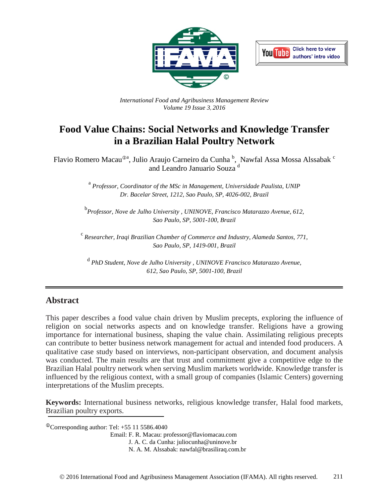



*International Food and Agribusiness Management Review Volume 19 Issue 3*, *2016*

# **Food Value Chains: Social Networks and Knowledge Transfer in a Brazilian Halal Poultry Network**

Flavio Romero Macau<sup>®a</sup>, Julio Araujo Carneiro da Cunha <sup>b</sup>, Nawfal Assa Mossa Alssabak <sup>c</sup> and Leandro Januario Souza <sup>d</sup>

> <sup>a</sup> *Professor, Coordinator of the MSc in Management, Universidade Paulista, UNIP Dr. Bacelar Street, 1212, Sao Paulo, SP, 4026-002, Brazil*

b *Professor, Nove de Julho University , UNINOVE, Francisco Matarazzo Avenue, 612, Sao Paulo, SP, 5001-100, Brazil*

<sup>c</sup> *Researcher, Iraqi Brazilian Chamber of Commerce and Industry, Alameda Santos, 771, Sao Paulo, SP, 1419-001, Brazil* 

<sup>d</sup> *PhD Student, Nove de Julho University , UNINOVE Francisco Matarazzo Avenue, 612, Sao Paulo, SP, 5001-100, Brazil*

#### **Abstract**

This paper describes a food value chain driven by Muslim precepts, exploring the influence of religion on social networks aspects and on knowledge transfer. Religions have a growing importance for international business, shaping the value chain. Assimilating religious precepts can contribute to better business network management for actual and intended food producers. A qualitative case study based on interviews, non-participant observation, and document analysis was conducted. The main results are that trust and commitment give a competitive edge to the Brazilian Halal poultry network when serving Muslim markets worldwide. Knowledge transfer is influenced by the religious context, with a small group of companies (Islamic Centers) governing interpretations of the Muslim precepts.

**Keywords:** International business networks, religious knowledge transfer, Halal food markets, Brazilian poultry exports.

 $\rm^{\circ\circ}$ Corresponding author: Tel: +55 11 5586.4040

Email: F. R. Macau: professor@flaviomacau.com

J. A. C. da Cunha: juliocunha@uninove.br

N. A. M. Alssabak: nawfal@brasiliraq.com.br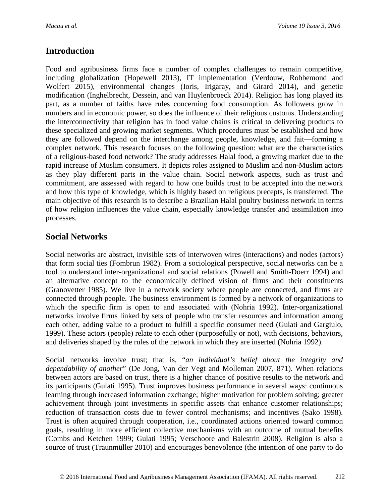## **Introduction**

Food and agribusiness firms face a number of complex challenges to remain competitive, including globalization (Hopewell 2013), IT implementation (Verdouw, Robbemond and Wolfert 2015), environmental changes (Ioris, Irigaray, and Girard 2014), and genetic modification (Inghelbrecht, Dessein, and van Huylenbroeck 2014). Religion has long played its part, as a number of faiths have rules concerning food consumption. As followers grow in numbers and in economic power, so does the influence of their religious customs. Understanding the interconnectivity that religion has in food value chains is critical to delivering products to these specialized and growing market segments. Which procedures must be established and how they are followed depend on the interchange among people, knowledge, and fait—forming a complex network. This research focuses on the following question: what are the characteristics of a religious-based food network? The study addresses Halal food, a growing market due to the rapid increase of Muslim consumers. It depicts roles assigned to Muslim and non-Muslim actors as they play different parts in the value chain. Social network aspects, such as trust and commitment, are assessed with regard to how one builds trust to be accepted into the network and how this type of knowledge, which is highly based on religious precepts, is transferred. The main objective of this research is to describe a Brazilian Halal poultry business network in terms of how religion influences the value chain, especially knowledge transfer and assimilation into processes.

## **Social Networks**

Social networks are abstract, invisible sets of interwoven wires (interactions) and nodes (actors) that form social ties (Fombrun 1982). From a sociological perspective, social networks can be a tool to understand inter-organizational and social relations (Powell and Smith-Doerr 1994) and an alternative concept to the economically defined vision of firms and their constituents (Granovetter 1985). We live in a network society where people are connected, and firms are connected through people. The business environment is formed by a network of organizations to which the specific firm is open to and associated with (Nohria 1992). Inter-organizational networks involve firms linked by sets of people who transfer resources and information among each other, adding value to a product to fulfill a specific consumer need (Gulati and Gargiulo, 1999). These actors (people) relate to each other (purposefully or not), with decisions, behaviors, and deliveries shaped by the rules of the network in which they are inserted (Nohria 1992).

Social networks involve trust; that is, "*an individual's belief about the integrity and dependability of another*" (De Jong, Van der Vegt and Molleman 2007, 871). When relations between actors are based on trust, there is a higher chance of positive results to the network and its participants (Gulati 1995). Trust improves business performance in several ways: continuous learning through increased information exchange; higher motivation for problem solving; greater achievement through joint investments in specific assets that enhance customer relationships; reduction of transaction costs due to fewer control mechanisms; and incentives (Sako 1998). Trust is often acquired through cooperation, i.e., coordinated actions oriented toward common goals, resulting in more efficient collective mechanisms with an outcome of mutual benefits (Combs and Ketchen 1999; Gulati 1995; Verschoore and Balestrin 2008). Religion is also a source of trust (Traunmüller 2010) and encourages benevolence (the intention of one party to do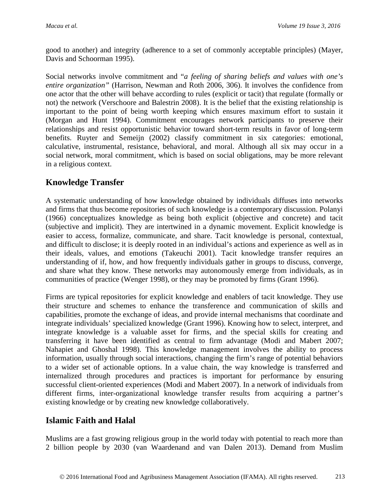good to another) and integrity (adherence to a set of commonly acceptable principles) (Mayer, Davis and Schoorman 1995).

Social networks involve commitment and "*a feeling of sharing beliefs and values with one's entire organization"* (Harrison, Newman and Roth 2006, 306). It involves the confidence from one actor that the other will behave according to rules (explicit or tacit) that regulate (formally or not) the network (Verschoore and Balestrin 2008). It is the belief that the existing relationship is important to the point of being worth keeping which ensures maximum effort to sustain it (Morgan and Hunt 1994). Commitment encourages network participants to preserve their relationships and resist opportunistic behavior toward short-term results in favor of long-term benefits. Ruyter and Semeijn (2002) classify commitment in six categories: emotional, calculative, instrumental, resistance, behavioral, and moral. Although all six may occur in a social network, moral commitment, which is based on social obligations, may be more relevant in a religious context.

### **Knowledge Transfer**

A systematic understanding of how knowledge obtained by individuals diffuses into networks and firms that thus become repositories of such knowledge is a contemporary discussion. Polanyi (1966) conceptualizes knowledge as being both explicit (objective and concrete) and tacit (subjective and implicit). They are intertwined in a dynamic movement. Explicit knowledge is easier to access, formalize, communicate, and share. Tacit knowledge is personal, contextual, and difficult to disclose; it is deeply rooted in an individual's actions and experience as well as in their ideals, values, and emotions (Takeuchi 2001). Tacit knowledge transfer requires an understanding of if, how, and how frequently individuals gather in groups to discuss, converge, and share what they know. These networks may autonomously emerge from individuals, as in communities of practice (Wenger 1998), or they may be promoted by firms (Grant 1996).

Firms are typical repositories for explicit knowledge and enablers of tacit knowledge. They use their structure and schemes to enhance the transference and communication of skills and capabilities, promote the exchange of ideas, and provide internal mechanisms that coordinate and integrate individuals' specialized knowledge (Grant 1996). Knowing how to select, interpret, and integrate knowledge is a valuable asset for firms, and the special skills for creating and transferring it have been identified as central to firm advantage (Modi and Mabert 2007; Nahapiet and Ghoshal 1998). This knowledge management involves the ability to process information, usually through social interactions, changing the firm's range of potential behaviors to a wider set of actionable options. In a value chain, the way knowledge is transferred and internalized through procedures and practices is important for performance by ensuring successful client-oriented experiences (Modi and Mabert 2007). In a network of individuals from different firms, inter-organizational knowledge transfer results from acquiring a partner's existing knowledge or by creating new knowledge collaboratively.

### **Islamic Faith and Halal**

Muslims are a fast growing religious group in the world today with potential to reach more than 2 billion people by 2030 (van Waardenand and van Dalen 2013). Demand from Muslim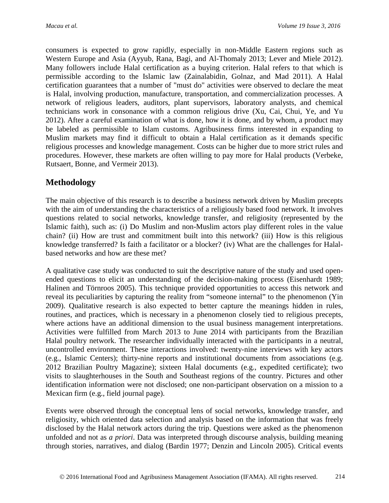consumers is expected to grow rapidly, especially in non-Middle Eastern regions such as Western Europe and Asia (Ayyub, Rana, Bagi, and Al-Thomaly 2013; Lever and Miele 2012). Many followers include Halal certification as a buying criterion. Halal refers to that which is permissible according to the Islamic law (Zainalabidin, Golnaz, and Mad 2011). A Halal certification guarantees that a number of "must do" activities were observed to declare the meat is Halal, involving production, manufacture, transportation, and commercialization processes. A network of religious leaders, auditors, plant supervisors, laboratory analysts, and chemical technicians work in consonance with a common religious drive (Xu, Cai, Chui, Ye, and Yu 2012). After a careful examination of what is done, how it is done, and by whom, a product may be labeled as permissible to Islam customs. Agribusiness firms interested in expanding to Muslim markets may find it difficult to obtain a Halal certification as it demands specific religious processes and knowledge management. Costs can be higher due to more strict rules and procedures. However, these markets are often willing to pay more for Halal products (Verbeke, Rutsaert, Bonne, and Vermeir 2013).

### **Methodology**

The main objective of this research is to describe a business network driven by Muslim precepts with the aim of understanding the characteristics of a religiously based food network. It involves questions related to social networks, knowledge transfer, and religiosity (represented by the Islamic faith), such as: (i) Do Muslim and non-Muslim actors play different roles in the value chain? (ii) How are trust and commitment built into this network? (iii) How is this religious knowledge transferred? Is faith a facilitator or a blocker? (iv) What are the challenges for Halalbased networks and how are these met?

A qualitative case study was conducted to suit the descriptive nature of the study and used openended questions to elicit an understanding of the decision-making process (Eisenhardt 1989; Halinen and Törnroos 2005). This technique provided opportunities to access this network and reveal its peculiarities by capturing the reality from "someone internal" to the phenomenon (Yin 2009). Qualitative research is also expected to better capture the meanings hidden in rules, routines, and practices, which is necessary in a phenomenon closely tied to religious precepts, where actions have an additional dimension to the usual business management interpretations. Activities were fulfilled from March 2013 to June 2014 with participants from the Brazilian Halal poultry network. The researcher individually interacted with the participants in a neutral, uncontrolled environment. These interactions involved: twenty-nine interviews with key actors (e.g., Islamic Centers); thirty-nine reports and institutional documents from associations (e.g. 2012 Brazilian Poultry Magazine); sixteen Halal documents (e.g., expedited certificate); two visits to slaughterhouses in the South and Southeast regions of the country. Pictures and other identification information were not disclosed; one non-participant observation on a mission to a Mexican firm (e.g., field journal page).

Events were observed through the conceptual lens of social networks, knowledge transfer, and religiosity, which oriented data selection and analysis based on the information that was freely disclosed by the Halal network actors during the trip. Questions were asked as the phenomenon unfolded and not as *a priori*. Data was interpreted through discourse analysis, building meaning through stories, narratives, and dialog (Bardin 1977; Denzin and Lincoln 2005). Critical events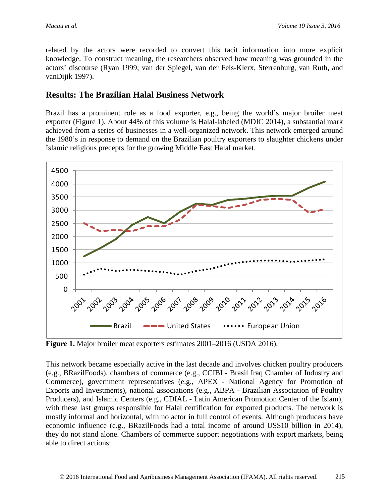related by the actors were recorded to convert this tacit information into more explicit knowledge. To construct meaning, the researchers observed how meaning was grounded in the actors' discourse (Ryan 1999; van der Spiegel, van der Fels-Klerx, Sterrenburg, van Ruth, and vanDijik 1997).

#### **Results: The Brazilian Halal Business Network**

Brazil has a prominent role as a food exporter, e.g., being the world's major broiler meat exporter (Figure 1). About 44% of this volume is Halal-labeled (MDIC 2014), a substantial mark achieved from a series of businesses in a well-organized network. This network emerged around the 1980's in response to demand on the Brazilian poultry exporters to slaughter chickens under Islamic religious precepts for the growing Middle East Halal market.



**Figure 1.** Major broiler meat exporters estimates 2001–2016 (USDA 2016).

This network became especially active in the last decade and involves chicken poultry producers (e.g., BRazilFoods), chambers of commerce (e.g., CCIBI - Brasil Iraq Chamber of Industry and Commerce), government representatives (e.g., APEX - National Agency for Promotion of Exports and Investments), national associations (e.g., ABPA - Brazilian Association of Poultry Producers), and Islamic Centers (e.g., CDIAL - Latin American Promotion Center of the Islam), with these last groups responsible for Halal certification for exported products. The network is mostly informal and horizontal, with no actor in full control of events. Although producers have economic influence (e.g., BRazilFoods had a total income of around US\$10 billion in 2014), they do not stand alone. Chambers of commerce support negotiations with export markets, being able to direct actions: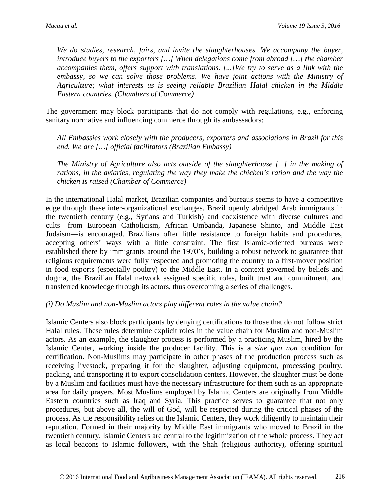*We do studies, research, fairs, and invite the slaughterhouses. We accompany the buyer, introduce buyers to the exporters […] When delegations come from abroad […] the chamber accompanies them, offers support with translations. [...]We try to serve as a link with the*  embassy, so we can solve those problems. We have joint actions with the Ministry of *Agriculture; what interests us is seeing reliable Brazilian Halal chicken in the Middle Eastern countries. (Chambers of Commerce)*

The government may block participants that do not comply with regulations, e.g., enforcing sanitary normative and influencing commerce through its ambassadors:

*All Embassies work closely with the producers, exporters and associations in Brazil for this end. We are […] official facilitators (Brazilian Embassy)*

*The Ministry of Agriculture also acts outside of the slaughterhouse [...] in the making of rations, in the aviaries, regulating the way they make the chicken's ration and the way the chicken is raised (Chamber of Commerce)*

In the international Halal market, Brazilian companies and bureaus seems to have a competitive edge through these inter-organizational exchanges. Brazil openly abridged Arab immigrants in the twentieth century (e.g., Syrians and Turkish) and coexistence with diverse cultures and cults—from European Catholicism, African Umbanda, Japanese Shinto, and Middle East Judaism—is encouraged. Brazilians offer little resistance to foreign habits and procedures, accepting others' ways with a little constraint. The first Islamic-oriented bureaus were established there by immigrants around the 1970's, building a robust network to guarantee that religious requirements were fully respected and promoting the country to a first-mover position in food exports (especially poultry) to the Middle East. In a context governed by beliefs and dogma, the Brazilian Halal network assigned specific roles, built trust and commitment, and transferred knowledge through its actors, thus overcoming a series of challenges.

#### *(i) Do Muslim and non-Muslim actors play different roles in the value chain?*

Islamic Centers also block participants by denying certifications to those that do not follow strict Halal rules. These rules determine explicit roles in the value chain for Muslim and non-Muslim actors. As an example, the slaughter process is performed by a practicing Muslim, hired by the Islamic Center, working inside the producer facility. This is a *sine qua non* condition for certification. Non-Muslims may participate in other phases of the production process such as receiving livestock, preparing it for the slaughter, adjusting equipment, processing poultry, packing, and transporting it to export consolidation centers. However, the slaughter must be done by a Muslim and facilities must have the necessary infrastructure for them such as an appropriate area for daily prayers. Most Muslims employed by Islamic Centers are originally from Middle Eastern countries such as Iraq and Syria. This practice serves to guarantee that not only procedures, but above all, the will of God, will be respected during the critical phases of the process. As the responsibility relies on the Islamic Centers, they work diligently to maintain their reputation. Formed in their majority by Middle East immigrants who moved to Brazil in the twentieth century, Islamic Centers are central to the legitimization of the whole process. They act as local beacons to Islamic followers, with the Shah (religious authority), offering spiritual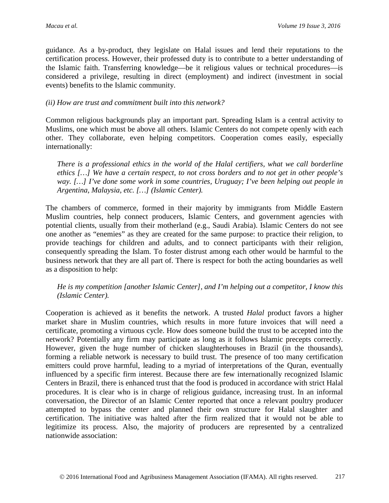guidance. As a by-product, they legislate on Halal issues and lend their reputations to the certification process. However, their professed duty is to contribute to a better understanding of the Islamic faith. Transferring knowledge—be it religious values or technical procedures—is considered a privilege, resulting in direct (employment) and indirect (investment in social events) benefits to the Islamic community.

#### *(ii) How are trust and commitment built into this network?*

Common religious backgrounds play an important part. Spreading Islam is a central activity to Muslims, one which must be above all others. Islamic Centers do not compete openly with each other. They collaborate, even helping competitors. Cooperation comes easily, especially internationally:

*There is a professional ethics in the world of the Halal certifiers, what we call borderline ethics […] We have a certain respect, to not cross borders and to not get in other people's way. […] I've done some work in some countries, Uruguay; I've been helping out people in Argentina, Malaysia, etc. […] (Islamic Center).*

The chambers of commerce, formed in their majority by immigrants from Middle Eastern Muslim countries, help connect producers, Islamic Centers, and government agencies with potential clients, usually from their motherland (e.g., Saudi Arabia). Islamic Centers do not see one another as "enemies" as they are created for the same purpose: to practice their religion, to provide teachings for children and adults, and to connect participants with their religion, consequently spreading the Islam. To foster distrust among each other would be harmful to the business network that they are all part of. There is respect for both the acting boundaries as well as a disposition to help:

*He is my competition [another Islamic Center], and I'm helping out a competitor, I know this (Islamic Center).*

Cooperation is achieved as it benefits the network. A trusted *Halal* product favors a higher market share in Muslim countries, which results in more future invoices that will need a certificate, promoting a virtuous cycle. How does someone build the trust to be accepted into the network? Potentially any firm may participate as long as it follows Islamic precepts correctly. However, given the huge number of chicken slaughterhouses in Brazil (in the thousands), forming a reliable network is necessary to build trust. The presence of too many certification emitters could prove harmful, leading to a myriad of interpretations of the Quran, eventually influenced by a specific firm interest. Because there are few internationally recognized Islamic Centers in Brazil, there is enhanced trust that the food is produced in accordance with strict Halal procedures. It is clear who is in charge of religious guidance, increasing trust. In an informal conversation, the Director of an Islamic Center reported that once a relevant poultry producer attempted to bypass the center and planned their own structure for Halal slaughter and certification. The initiative was halted after the firm realized that it would not be able to legitimize its process. Also, the majority of producers are represented by a centralized nationwide association: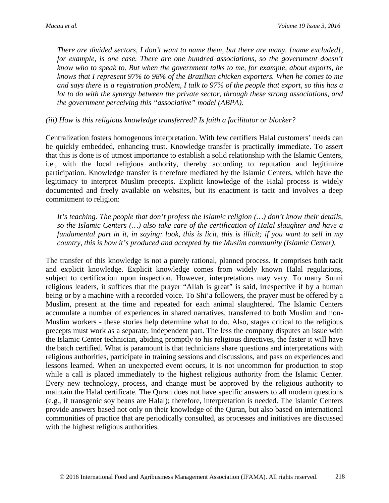*There are divided sectors, I don't want to name them, but there are many. [name excluded], for example, is one case. There are one hundred associations, so the government doesn't know who to speak to. But when the government talks to me, for example, about exports, he knows that I represent 97% to 98% of the Brazilian chicken exporters. When he comes to me and says there is a registration problem, I talk to 97% of the people that export, so this has a lot to do with the synergy between the private sector, through these strong associations, and the government perceiving this "associative" model (ABPA).* 

*(iii) How is this religious knowledge transferred? Is faith a facilitator or blocker?* 

Centralization fosters homogenous interpretation. With few certifiers Halal customers' needs can be quickly embedded, enhancing trust. Knowledge transfer is practically immediate. To assert that this is done is of utmost importance to establish a solid relationship with the Islamic Centers, i.e., with the local religious authority, thereby according to reputation and legitimize participation. Knowledge transfer is therefore mediated by the Islamic Centers, which have the legitimacy to interpret Muslim precepts. Explicit knowledge of the Halal process is widely documented and freely available on websites, but its enactment is tacit and involves a deep commitment to religion:

*It's teaching. The people that don't profess the Islamic religion (…) don't know their details, so the Islamic Centers (…) also take care of the certification of Halal slaughter and have a fundamental part in it, in saying: look, this is licit, this is illicit; if you want to sell in my country, this is how it's produced and accepted by the Muslim community (Islamic Center).*

The transfer of this knowledge is not a purely rational, planned process. It comprises both tacit and explicit knowledge. Explicit knowledge comes from widely known Halal regulations, subject to certification upon inspection. However, interpretations may vary. To many Sunni religious leaders, it suffices that the prayer "Allah is great" is said, irrespective if by a human being or by a machine with a recorded voice. To Shi'a followers, the prayer must be offered by a Muslim, present at the time and repeated for each animal slaughtered. The Islamic Centers accumulate a number of experiences in shared narratives, transferred to both Muslim and non-Muslim workers - these stories help determine what to do. Also, stages critical to the religious precepts must work as a separate, independent part. The less the company disputes an issue with the Islamic Center technician, abiding promptly to his religious directives, the faster it will have the batch certified. What is paramount is that technicians share questions and interpretations with religious authorities, participate in training sessions and discussions, and pass on experiences and lessons learned. When an unexpected event occurs, it is not uncommon for production to stop while a call is placed immediately to the highest religious authority from the Islamic Center. Every new technology, process, and change must be approved by the religious authority to maintain the Halal certificate. The Quran does not have specific answers to all modern questions (e.g., if transgenic soy beans are Halal); therefore, interpretation is needed. The Islamic Centers provide answers based not only on their knowledge of the Quran, but also based on international communities of practice that are periodically consulted, as processes and initiatives are discussed with the highest religious authorities.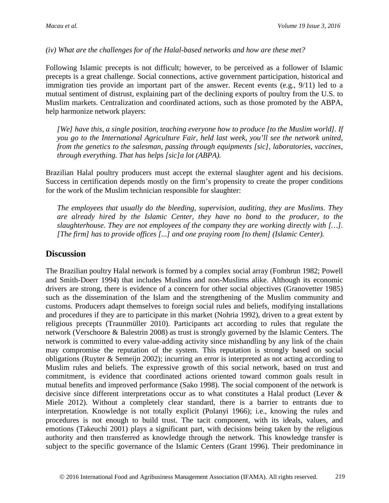*(iv) What are the challenges for of the Halal-based networks and how are these met?*

Following Islamic precepts is not difficult; however, to be perceived as a follower of Islamic precepts is a great challenge. Social connections, active government participation, historical and immigration ties provide an important part of the answer. Recent events (e.g., 9/11) led to a mutual sentiment of distrust, explaining part of the declining exports of poultry from the U.S. to Muslim markets. Centralization and coordinated actions, such as those promoted by the ABPA, help harmonize network players:

*[We] have this, a single position, teaching everyone how to produce [to the Muslim world]. If you go to the International Agriculture Fair, held last week, you'll see the network united, from the genetics to the salesman, passing through equipments [sic], laboratories, vaccines, through everything. That has helps [sic]a lot (ABPA).*

Brazilian Halal poultry producers must accept the external slaughter agent and his decisions. Success in certification depends mostly on the firm's propensity to create the proper conditions for the work of the Muslim technician responsible for slaughter:

*The employees that usually do the bleeding, supervision, auditing, they are Muslims. They are already hired by the Islamic Center, they have no bond to the producer, to the slaughterhouse. They are not employees of the company they are working directly with […]. [The firm] has to provide offices [...] and one praying room [to them] (Islamic Center).* 

#### **Discussion**

The Brazilian poultry Halal network is formed by a complex social array (Fombrun 1982; Powell and Smith-Doerr 1994) that includes Muslims and non-Muslims alike. Although its economic drivers are strong, there is evidence of a concern for other social objectives (Granovetter 1985) such as the dissemination of the Islam and the strengthening of the Muslim community and customs. Producers adapt themselves to foreign social rules and beliefs, modifying installations and procedures if they are to participate in this market (Nohria 1992), driven to a great extent by religious precepts (Traunmüller 2010). Participants act according to rules that regulate the network (Verschoore & Balestrin 2008) as trust is strongly governed by the Islamic Centers. The network is committed to every value-adding activity since mishandling by any link of the chain may compromise the reputation of the system. This reputation is strongly based on social obligations (Ruyter & Semeijn 2002); incurring an error is interpreted as not acting according to Muslim rules and beliefs. The expressive growth of this social network, based on trust and commitment, is evidence that coordinated actions oriented toward common goals result in mutual benefits and improved performance (Sako 1998). The social component of the network is decisive since different interpretations occur as to what constitutes a Halal product (Lever & Miele 2012). Without a completely clear standard, there is a barrier to entrants due to interpretation. Knowledge is not totally explicit (Polanyi 1966); i.e., knowing the rules and procedures is not enough to build trust. The tacit component, with its ideals, values, and emotions (Takeuchi 2001) plays a significant part, with decisions being taken by the religious authority and then transferred as knowledge through the network. This knowledge transfer is subject to the specific governance of the Islamic Centers (Grant 1996). Their predominance in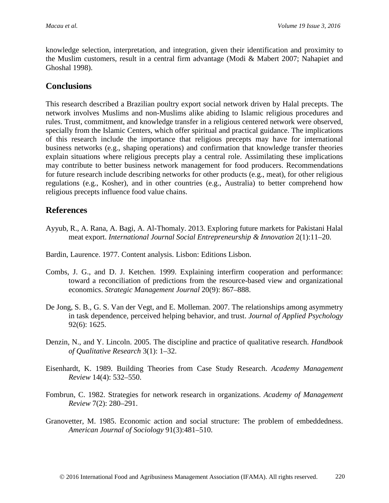knowledge selection, interpretation, and integration, given their identification and proximity to the Muslim customers, result in a central firm advantage (Modi & Mabert 2007; Nahapiet and Ghoshal 1998).

#### **Conclusions**

This research described a Brazilian poultry export social network driven by Halal precepts. The network involves Muslims and non-Muslims alike abiding to Islamic religious procedures and rules. Trust, commitment, and knowledge transfer in a religious centered network were observed, specially from the Islamic Centers, which offer spiritual and practical guidance. The implications of this research include the importance that religious precepts may have for international business networks (e.g., shaping operations) and confirmation that knowledge transfer theories explain situations where religious precepts play a central role. Assimilating these implications may contribute to better business network management for food producers. Recommendations for future research include describing networks for other products (e.g., meat), for other religious regulations (e.g., Kosher), and in other countries (e.g., Australia) to better comprehend how religious precepts influence food value chains.

#### **References**

Ayyub, R., A. Rana, A. Bagi, A. Al-Thomaly. 2013. Exploring future markets for Pakistani Halal meat export. *International Journal Social Entrepreneurship & Innovation* 2(1):11–20.

Bardin, Laurence. 1977. Content analysis. Lisbon: Editions Lisbon.

- Combs, J. G., and D. J. Ketchen. 1999. Explaining interfirm cooperation and performance: toward a reconciliation of predictions from the resource-based view and organizational economics. *Strategic Management Journal* 20(9): 867–888.
- De Jong, S. B., G. S. Van der Vegt, and E. Molleman. 2007. The relationships among asymmetry in task dependence, perceived helping behavior, and trust. *Journal of Applied Psychology* 92(6): 1625.
- Denzin, N., and Y. Lincoln. 2005. The discipline and practice of qualitative research. *Handbook of Qualitative Research* 3(1): 1–32.
- Eisenhardt, K. 1989. Building Theories from Case Study Research. *Academy Management Review* 14(4): 532–550.
- Fombrun, C. 1982. Strategies for network research in organizations. *Academy of Management Review* 7(2): 280–291.
- Granovetter, M. 1985. Economic action and social structure: The problem of embeddedness. *American Journal of Sociology* 91(3):481–510.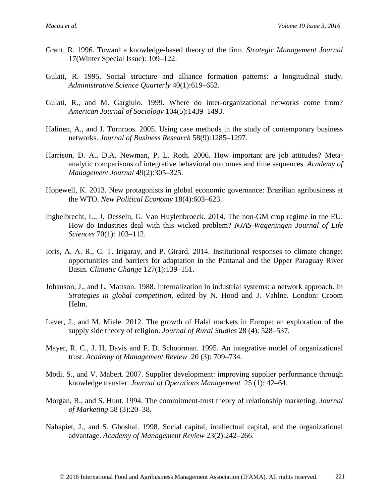- Grant, R. 1996. Toward a knowledge-based theory of the firm. *Strategic Management Journal* 17(Winter Special Issue): 109–122.
- Gulati, R. 1995. Social structure and alliance formation patterns: a longitudinal study. *Administrative Science Quarterly* 40(1):619–652.
- Gulati, R., and M. Gargiulo. 1999. Where do inter-organizational networks come from? *American Journal of Sociology* 104(5):1439–1493.
- Halinen, A., and J. Törnroos. 2005. Using case methods in the study of contemporary business networks. *Journal of Business Research* 58(9):1285–1297.
- Harrison, D. A., D.A. Newman, P. L. Roth. 2006. How important are job attitudes? Metaanalytic comparisons of integrative behavioral outcomes and time sequences. *Academy of Management Journal* 49(2):305–325.
- Hopewell, K. 2013. New protagonists in global economic governance: Brazilian agribusiness at the WTO. *New Political Economy* 18(4):603–623.
- Inghelbrecht, L., J. Dessein, G. Van Huylenbroeck. 2014. The non-GM crop regime in the EU: How do Industries deal with this wicked problem? *NJAS-Wageningen Journal of Life Sciences* 70(1): 103–112.
- Ioris, A. A. R., C. T. Irigaray, and P. Girard. 2014. Institutional responses to climate change: opportunities and barriers for adaptation in the Pantanal and the Upper Paraguay River Basin. *Climatic Change* 127(1):139–151.
- Johanson, J., and L. Mattson. 1988. Internalization in industrial systems: a network approach. In *Strategies in global competition*, edited by N. Hood and J. Vahlne. London: Croom Helm.
- Lever, J., and M. Miele. 2012. The growth of Halal markets in Europe: an exploration of the supply side theory of religion. *Journal of Rural Studies* 28 (4): 528–537.
- Mayer, R. C., J. H. Davis and F. D. Schoorman. 1995. An integrative model of organizational trust. *Academy of Management Review* 20 (3): 709–734.
- Modi, S., and V. Mabert. 2007. Supplier development: improving supplier performance through knowledge transfer. *Journal of Operations Management* 25 (1): 42–64.
- Morgan, R., and S. Hunt. 1994. The commitment-trust theory of relationship marketing. *Journal of Marketing* 58 (3):20–38.
- Nahapiet, J., and S. Ghoshal. 1998. Social capital, intellectual capital, and the organizational advantage. *Academy of Management Review* 23(2):242–266.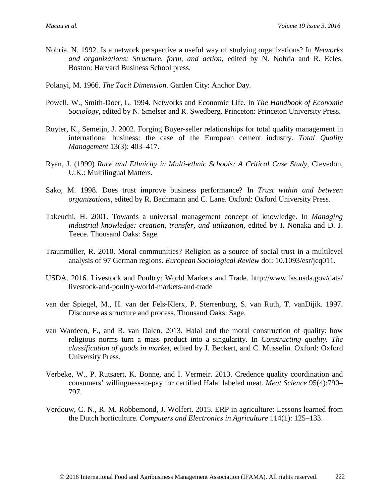- Nohria, N. 1992. Is a network perspective a useful way of studying organizations? In *Networks and organizations: Structure, form, and action*, edited by N. Nohria and R. Ecles. Boston: Harvard Business School press.
- Polanyi, M. 1966. *The Tacit Dimension*. Garden City: Anchor Day.
- Powell, W., Smith-Doer, L. 1994. Networks and Economic Life. In *The Handbook of Economic Sociology*, edited by N. Smelser and R. Swedberg. Princeton: Princeton University Press.
- Ruyter, K., Semeijn, J. 2002. Forging Buyer-seller relationships for total quality management in international business: the case of the European cement industry. *Total Quality Management* 13(3): 403–417.
- Ryan, J. (1999) *Race and Ethnicity in Multi-ethnic Schools: A Critical Case Study*, Clevedon, U.K.: Multilingual Matters.
- Sako, M. 1998. Does trust improve business performance? In *Trust within and between organizations*, edited by R. Bachmann and C. Lane. Oxford: Oxford University Press.
- Takeuchi, H. 2001. Towards a universal management concept of knowledge. In *Managing industrial knowledge: creation, transfer, and utilization*, edited by I. Nonaka and D. J. Teece. Thousand Oaks: Sage.
- Traunmüller, R. 2010. Moral communities? Religion as a source of social trust in a multilevel analysis of 97 German regions. *European Sociological Review* doi: 10.1093/esr/jcq011.
- USDA. 2016. Livestock and Poultry: World Markets and Trade. http://www.fas.usda.gov/data/ livestock-and-poultry-world-markets-and-trade
- van der Spiegel, M., H. van der Fels-Klerx, P. Sterrenburg, S. van Ruth, T. vanDijik. 1997. Discourse as structure and process. Thousand Oaks: Sage.
- van Wardeen, F., and R. van Dalen. 2013. Halal and the moral construction of quality: how religious norms turn a mass product into a singularity. In *Constructing quality. The classification of goods in market*, edited by J. Beckert, and C. Musselin. Oxford: Oxford University Press.
- Verbeke, W., P. Rutsaert, K. Bonne, and I. Vermeir. 2013. Credence quality coordination and consumers' willingness-to-pay for certified Halal labeled meat. *Meat Science* 95(4):790– 797.
- Verdouw, C. N., R. M. Robbemond, J. Wolfert. 2015. ERP in agriculture: Lessons learned from the Dutch horticulture. *Computers and Electronics in Agriculture* 114(1): 125–133.